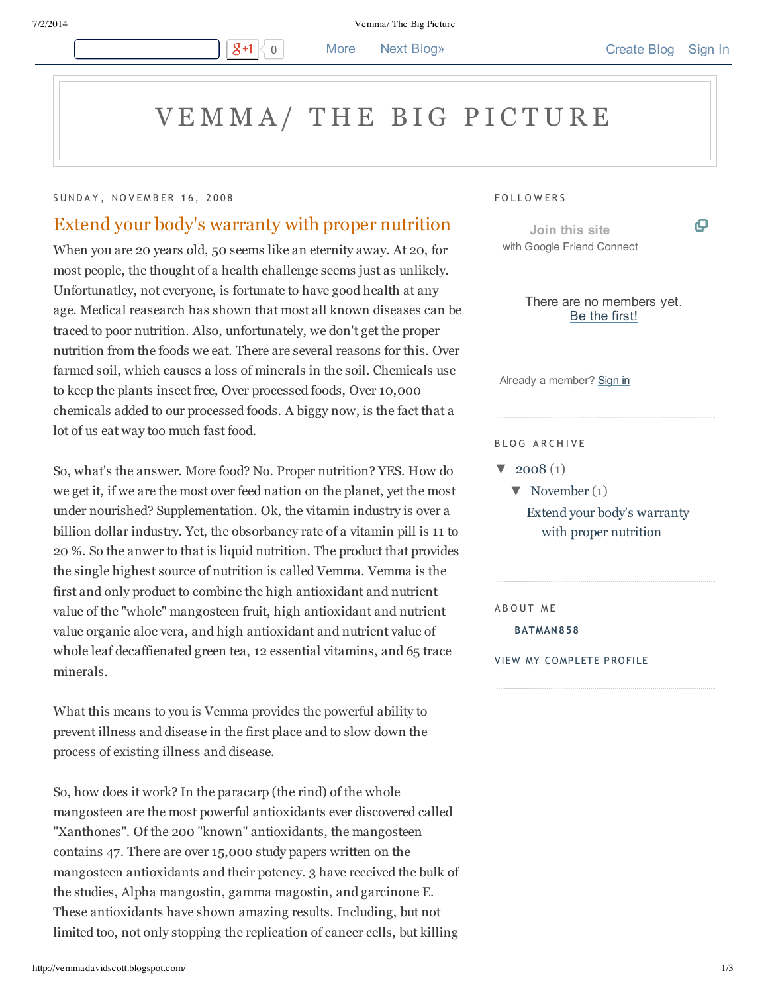7/2/2014 Vemma/ The Big Picture

# VEMMA/ THE BIG PICTURE

### SUNDAY, NOVEMBER 16, 2008

## Extend your body's warranty with proper nutrition

 $g+1$ 

When you are 20 years old, 50 seems like an eternity away. At 20, for most people, the thought of a health challenge seems just as unlikely. Unfortunatley, not everyone, is fortunate to have good health at any age. Medical reasearch has shown that most all known diseases can be traced to poor nutrition. Also, unfortunately, we don't get the proper nutrition from the foods we eat. There are several reasons for this. Over farmed soil, which causes a loss of minerals in the soil. Chemicals use to keep the plants insect free, Over processed foods, Over 10,000 chemicals added to our processed foods. A biggy now, is the fact that a lot of us eat way too much fast food.

So, what's the answer. More food? No. Proper nutrition? YES. How do we get it, if we are the most over feed nation on the planet, yet the most under nourished? Supplementation. Ok, the vitamin industry is over a billion dollar industry. Yet, the obsorbancy rate of a vitamin pill is 11 to 20 %. So the anwer to that is liquid nutrition. The product that provides the single highest source of nutrition is called Vemma. Vemma is the first and only product to combine the high antioxidant and nutrient value of the "whole" mangosteen fruit, high antioxidant and nutrient value organic aloe vera, and high antioxidant and nutrient value of whole leaf decaffienated green tea, 12 essential vitamins, and 65 trace minerals.

What this means to you is Vemma provides the powerful ability to prevent illness and disease in the first place and to slow down the process of existing illness and disease.

So, how does it work? In the paracarp (the rind) of the whole mangosteen are the most powerful antioxidants ever discovered called "Xanthones". Of the 200 "known" antioxidants, the mangosteen contains 47. There are over 15,000 study papers written on the mangosteen antioxidants and their potency. 3 have received the bulk of the studies, Alpha mangostin, gamma magostin, and garcinone E. These antioxidants have shown amazing results. Including, but not limited too, not only stopping the replication of cancer cells, but killing

#### **FOLLOWERS**

**Join this site** with Google Friend Connect ο

There are no members yet. Be the first!

Already a member? Sign in

#### BLOG ARCHIVE

 $\blacktriangledown$  2008 (1)

 $\nabla$  November (1) Extend your body's warranty with proper nutrition

A B O UT M E

**BATMAN858**

VIEW MY COMPLETE PROFILE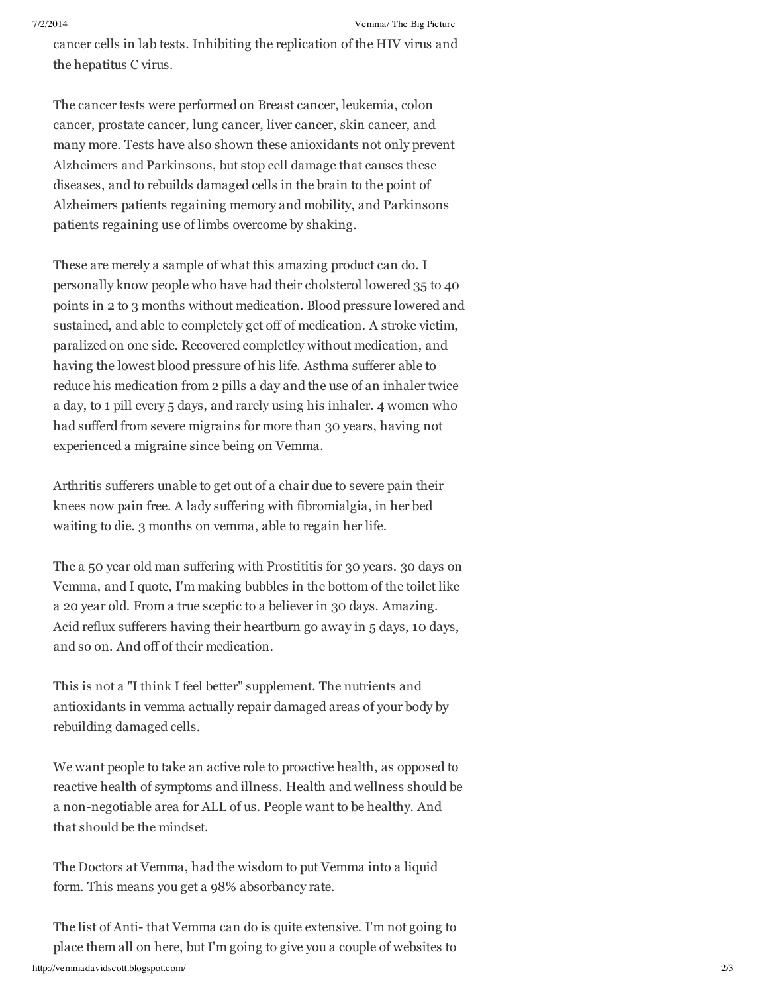cancer cells in lab tests. Inhibiting the replication of the HIV virus and the hepatitus C virus.

The cancer tests were performed on Breast cancer, leukemia, colon cancer, prostate cancer, lung cancer, liver cancer, skin cancer, and many more. Tests have also shown these anioxidants not only prevent Alzheimers and Parkinsons, but stop cell damage that causes these diseases, and to rebuilds damaged cells in the brain to the point of Alzheimers patients regaining memory and mobility, and Parkinsons patients regaining use of limbs overcome by shaking.

These are merely a sample of what this amazing product can do. I personally know people who have had their cholsterol lowered 35 to 40 points in 2 to 3 months without medication. Blood pressure lowered and sustained, and able to completely get off of medication. A stroke victim, paralized on one side. Recovered completley without medication, and having the lowest blood pressure of his life. Asthma sufferer able to reduce his medication from 2 pills a day and the use of an inhaler twice a day, to 1 pill every 5 days, and rarely using his inhaler. 4 women who had sufferd from severe migrains for more than 30 years, having not experienced a migraine since being on Vemma.

Arthritis sufferers unable to get out of a chair due to severe pain their knees now pain free. A lady suffering with fibromialgia, in her bed waiting to die. 3 months on vemma, able to regain her life.

The a 50 year old man suffering with Prostititis for 30 years. 30 days on Vemma, and I quote, I'm making bubbles in the bottom of the toilet like a 20 year old. From a true sceptic to a believer in 30 days. Amazing. Acid reflux sufferers having their heartburn go away in 5 days, 10 days, and so on. And off of their medication.

This is not a "I think I feel better" supplement. The nutrients and antioxidants in vemma actually repair damaged areas of your body by rebuilding damaged cells.

We want people to take an active role to proactive health, as opposed to reactive health of symptoms and illness. Health and wellness should be a non-negotiable area for ALL of us. People want to be healthy. And that should be the mindset.

The Doctors at Vemma, had the wisdom to put Vemma into a liquid form. This means you get a 98% absorbancy rate.

http://vemmadavidscott.blogspot.com/ 2/3 The list of Anti- that Vemma can do is quite extensive. I'm not going to place them all on here, butI'm going to give you a couple of websites to